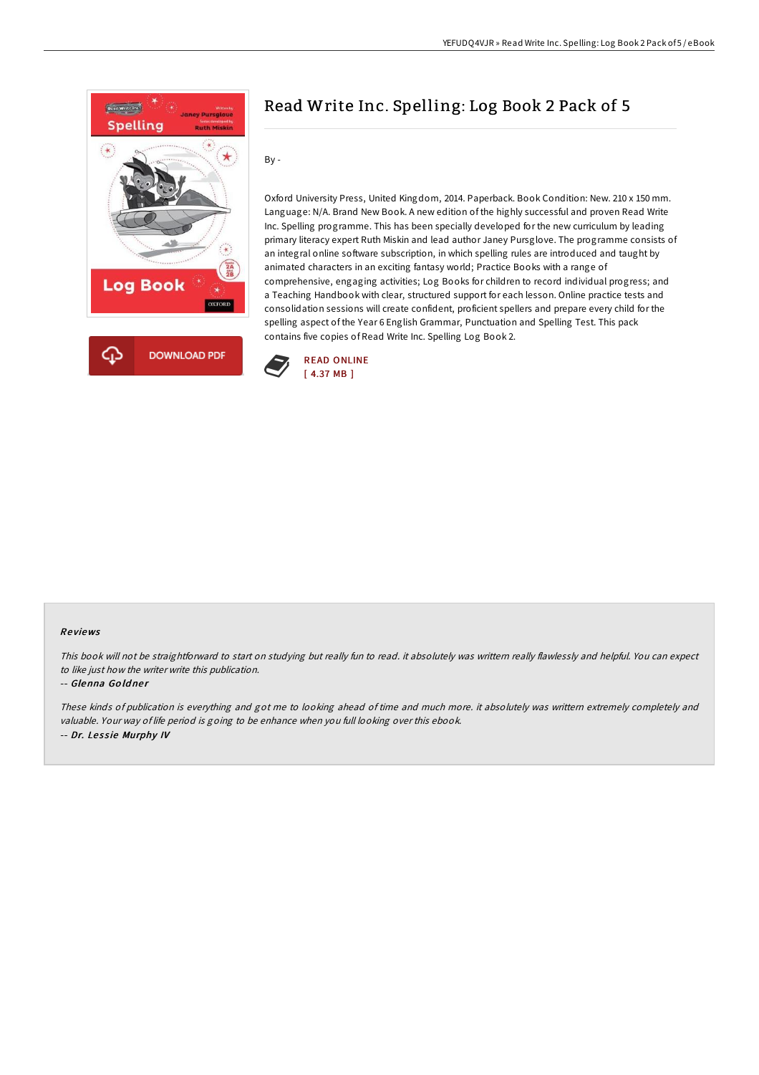

# Read Write Inc. Spelling: Log Book 2 Pack of 5

By -

Oxford University Press, United Kingdom, 2014. Paperback. Book Condition: New. 210 x 150 mm. Language: N/A. Brand New Book. A new edition of the highly successful and proven Read Write Inc. Spelling programme. This has been specially developed for the new curriculum by leading primary literacy expert Ruth Miskin and lead author Janey Pursglove. The programme consists of an integral online software subscription, in which spelling rules are introduced and taught by animated characters in an exciting fantasy world; Practice Books with a range of comprehensive, engaging activities; Log Books for children to record individual progress; and a Teaching Handbook with clear, structured support for each lesson. Online practice tests and consolidation sessions will create confident, proficient spellers and prepare every child for the spelling aspect of the Year 6 English Grammar, Punctuation and Spelling Test. This pack contains five copies of Read Write Inc. Spelling Log Book 2.



#### Re views

This book will not be straightforward to start on studying but really fun to read. it absolutely was writtern really flawlessly and helpful. You can expect to like just how the writer write this publication.

#### -- Glenna Goldner

These kinds of publication is everything and got me to looking ahead of time and much more. it absolutely was writtern extremely completely and valuable. Your way of life period is going to be enhance when you full looking over this ebook. -- Dr. Lessie Murphy IV